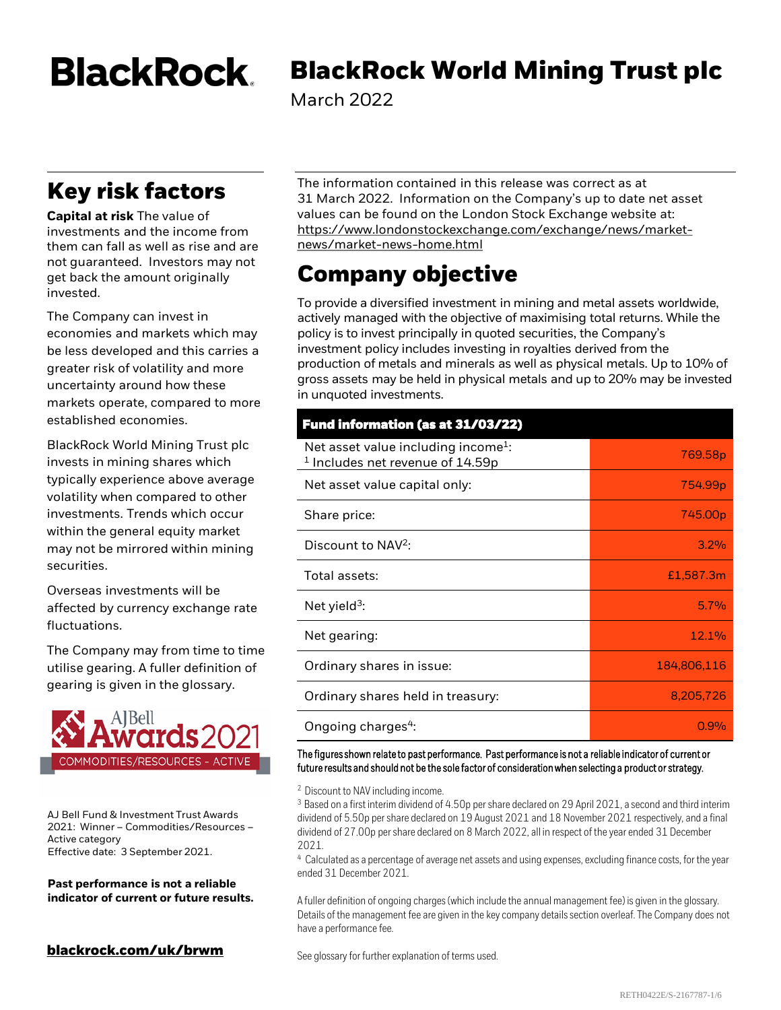**BlackRock** 

# **BlackRock World Mining Trust plc**

March 2022

# **Key risk factors**

**Capital at risk** The value of investments and the income from them can fall as well as rise and are not guaranteed. Investors may not get back the amount originally invested.

The Company can invest in economies and markets which may be less developed and this carries a greater risk of volatility and more uncertainty around how these markets operate, compared to more established economies.

BlackRock World Mining Trust plc invests in mining shares which typically experience above average volatility when compared to other investments. Trends which occur within the general equity market may not be mirrored within mining securities.

Overseas investments will be affected by currency exchange rate fluctuations.

The Company may from time to time utilise gearing. A fuller definition of gearing is given in the glossary.



AJ Bell Fund & Investment Trust Awards 2021: Winner – Commodities/Resources – Active category Effective date: 3 September 2021.

**Past performance is not a reliable indicator of current or future results.**

### **[blackrock.com/uk/brwm](https://www.blackrock.com/uk/individual/products/investment-trusts/our-range/blackrock-world-mining-investment-trust/trust-information)**<br>See glossary for further explanation of terms used.

The information contained in this release was correct as at 31 March 2022. Information on the Company's up to date net asset values can be found on the London Stock Exchange website at: [https://www.londonstockexchange.com/exchange/news/market](https://www.londonstockexchange.com/exchange/news/market-news/market-news-home.html)news/market-news-home.html

# **Company objective**

To provide a diversified investment in mining and metal assets worldwide, actively managed with the objective of maximising total returns. While the policy is to invest principally in quoted securities, the Company's investment policy includes investing in royalties derived from the production of metals and minerals as well as physical metals. Up to 10% of gross assets may be held in physical metals and up to 20% may be invested in unquoted investments.

# **Fund information (as at 31/03/22)**

| Net asset value including income <sup>1</sup> :<br>$1$ Includes net revenue of 14.59p | 769.58p             |
|---------------------------------------------------------------------------------------|---------------------|
| Net asset value capital only:                                                         | 754.99 <sub>p</sub> |
| Share price:                                                                          | 745.00p             |
| Discount to NAV <sup>2</sup> :                                                        | 3.2%                |
| Total assets:                                                                         | £1,587.3m           |
| Net yield <sup>3</sup> :                                                              | 5.7%                |
| Net gearing:                                                                          | 12.1%               |
| Ordinary shares in issue:                                                             | 184,806,116         |
| Ordinary shares held in treasury:                                                     | 8,205,726           |
| Ongoing charges <sup>4</sup> :                                                        | 0.9%                |

The figures shown relate to past performance. Past performance is not a reliable indicator of current or future results and should not be the sole factor of consideration when selecting a product or strategy.

<sup>2</sup> Discount to NAV including income.

<sup>3</sup> Based on a first interim dividend of 4.50p per share declared on 29 April 2021, a second and third interim dividend of 5.50p per share declared on 19 August 2021 and 18 November 2021 respectively, and a final dividend of 27.00p per share declared on 8 March 2022, all in respect of the year ended 31 December 2021.

<sup>4</sup> Calculated as a percentage of average net assets and using expenses, excluding finance costs, for the year ended 31 December 2021.

A fuller definition of ongoing charges (which include the annual management fee) is given in the glossary. Details of the management fee are given in the key company details section overleaf. The Company does not have a performance fee.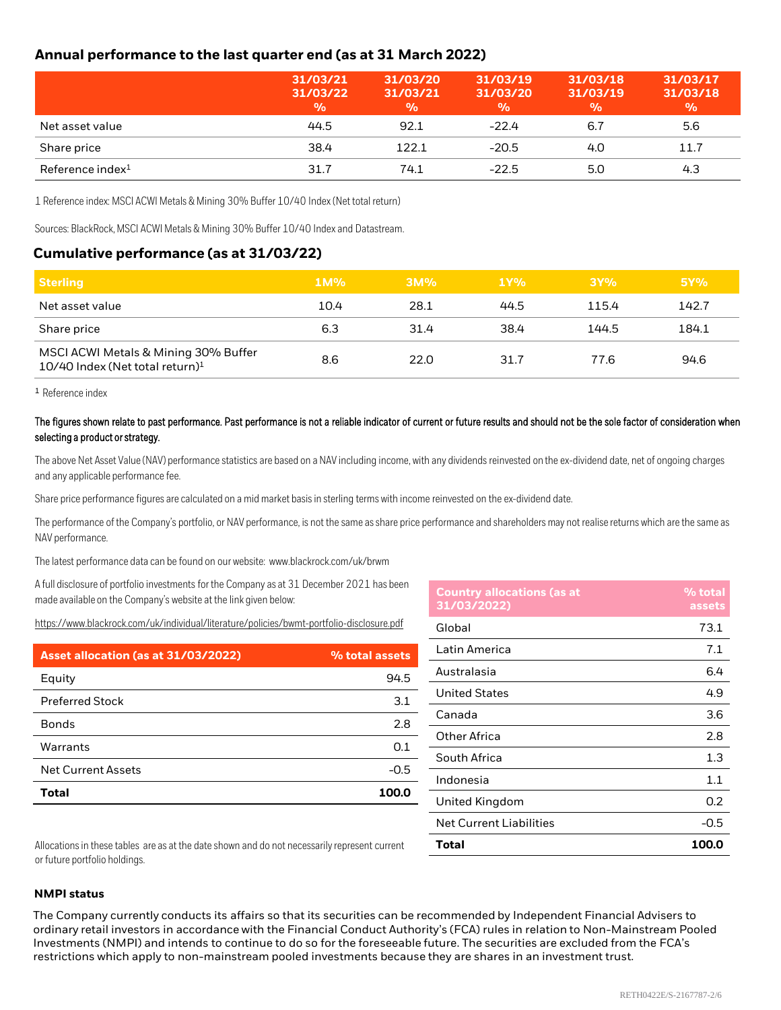#### **Annual performance to the last quarter end (as at 31 March 2022)**

|                     | 31/03/21<br>31/03/22<br>$\frac{0}{0}$ | 31/03/20<br>31/03/21<br>$\frac{0}{0}$ | 31/03/19<br>31/03/20<br>$\frac{0}{0}$ | 31/03/18<br>31/03/19<br>$\frac{0}{0}$ | 31/03/17<br>31/03/18<br>$\frac{9}{6}$ |
|---------------------|---------------------------------------|---------------------------------------|---------------------------------------|---------------------------------------|---------------------------------------|
| Net asset value     | 44.5                                  | 92.1                                  | $-22.4$                               | 6.7                                   | 5.6                                   |
| Share price         | 38.4                                  | 122.1                                 | $-20.5$                               | 4.0                                   | 11.7                                  |
| Reference index $1$ | 31.7                                  | 74.1                                  | $-22.5$                               | 5.0                                   | 4.3                                   |

1 Reference index: MSCI ACWI Metals & Mining 30% Buffer 10/40 Index (Net total return)

Sources: BlackRock, MSCI ACWI Metals & Mining 30% Buffer 10/40 Index and Datastream.

#### **Cumulative performance (as at 31/03/22)**

| <b>Sterling</b>                                                                       | $1M\%$ | 3M%  | 1Y%  | 3Y%   | 5Y%   |
|---------------------------------------------------------------------------------------|--------|------|------|-------|-------|
| Net asset value                                                                       | 10.4   | 28.1 | 44.5 | 115.4 | 142.7 |
| Share price                                                                           | 6.3    | 31.4 | 38.4 | 144.5 | 184.1 |
| MSCI ACWI Metals & Mining 30% Buffer<br>$10/40$ Index (Net total return) <sup>1</sup> | 8.6    | 22.0 | 31.7 | 77.6  | 94.6  |

<sup>1</sup> Reference index

#### The figures shown relate to past performance. Past performance is not a reliable indicator of current or future results and should not be the sole factor of consideration when selecting a product or strategy.

The above Net Asset Value (NAV) performance statistics are based on a NAV including income, with any dividends reinvested on the ex-dividend date, net of ongoing charges and any applicable performance fee.

Share price performance figures are calculated on a mid market basis in sterling terms with income reinvested on the ex-dividend date.

The performance of the Company's portfolio, or NAV performance, is not the same as share price performance and shareholders may not realise returns which are the same as NAV performance.

The latest performance data can be found on our website: www.blackrock.com/uk/brwm

A full disclosure of portfolio investments for the Company as at 31 December 2021 has been made available on the Company's website at the link given below:

<https://www.blackrock.com/uk/individual/literature/policies/bwmt-portfolio-disclosure.pdf>

| Asset allocation (as at 31/03/2022) | % total assets |
|-------------------------------------|----------------|
| Equity                              | 94.5           |
| <b>Preferred Stock</b>              | 3.1            |
| <b>Bonds</b>                        | 2.8            |
| Warrants                            | 0.1            |
| Net Current Assets                  | $-0.5$         |
| <b>Total</b>                        | 100.0          |

| <b>Country allocations (as at</b><br>31/03/2022) | % total<br>assets |
|--------------------------------------------------|-------------------|
| Global                                           | 73.1              |
| Latin America                                    | 7.1               |
| Australasia                                      | 6.4               |
| <b>United States</b>                             | 4.9               |
| Canada                                           | 3.6               |
| Other Africa                                     | 2.8               |
| South Africa                                     | 1.3               |
| Indonesia                                        | 1.1               |
| United Kingdom                                   | 0.2               |
| <b>Net Current Liabilities</b>                   | $-0.5$            |
| Total                                            | 100.0             |

Allocations in these tables are as at the date shown and do not necessarily represent current or future portfolio holdings.

#### **NMPI status**

The Company currently conducts its affairs so that its securities can be recommended by Independent Financial Advisers to ordinary retail investors in accordance with the Financial Conduct Authority's (FCA) rules in relation to Non-Mainstream Pooled Investments (NMPI) and intends to continue to do so for the foreseeable future. The securities are excluded from the FCA's restrictions which apply to non-mainstream pooled investments because they are shares in an investment trust.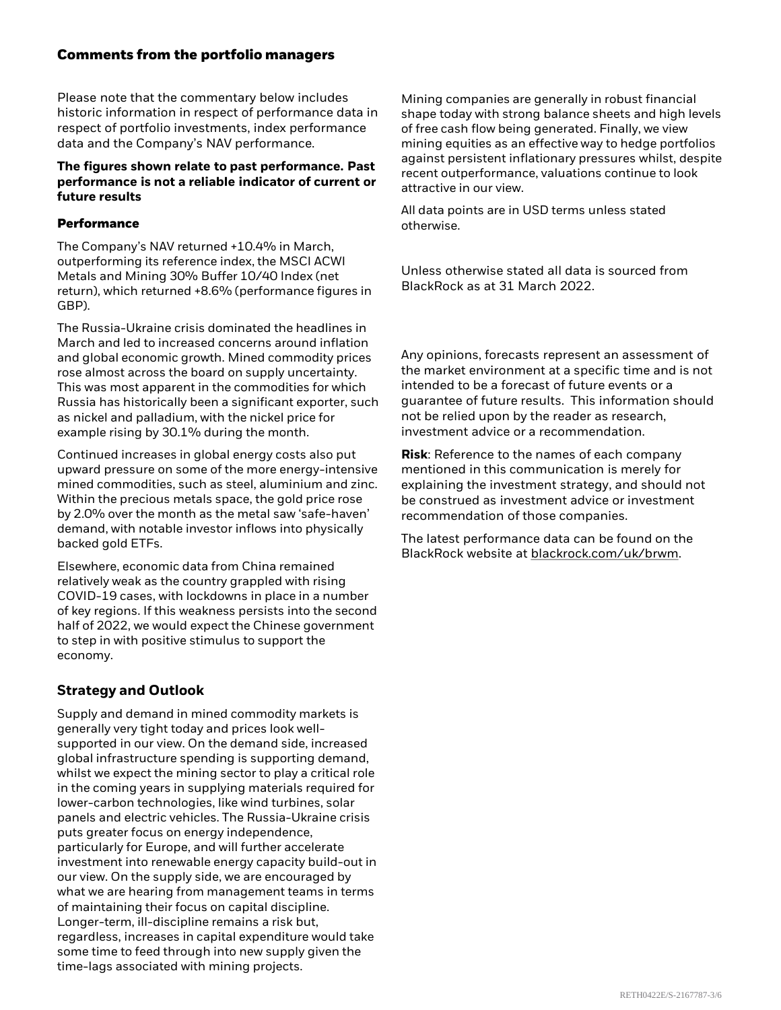#### **Comments from the portfolio managers**

Please note that the commentary below includes historic information in respect of performance data in respect of portfolio investments, index performance data and the Company's NAV performance.

#### **The figures shown relate to past performance. Past performance is not a reliable indicator of current or future results**

#### **Performance**

The Company's NAV returned +10.4% in March, outperforming its reference index, the MSCI ACWI Metals and Mining 30% Buffer 10/40 Index (net return), which returned +8.6% (performance figures in GBP).

The Russia-Ukraine crisis dominated the headlines in March and led to increased concerns around inflation and global economic growth. Mined commodity prices rose almost across the board on supply uncertainty. This was most apparent in the commodities for which Russia has historically been a significant exporter, such as nickel and palladium, with the nickel price for example rising by 30.1% during the month.

Continued increases in global energy costs also put upward pressure on some of the more energy-intensive mined commodities, such as steel, aluminium and zinc. Within the precious metals space, the gold price rose by 2.0% over the month as the metal saw 'safe-haven' demand, with notable investor inflows into physically backed gold ETFs.

Elsewhere, economic data from China remained relatively weak as the country grappled with rising COVID-19 cases, with lockdowns in place in a number of key regions. If this weakness persists into the second half of 2022, we would expect the Chinese government to step in with positive stimulus to support the economy.

#### **Strategy and Outlook**

Supply and demand in mined commodity markets is generally very tight today and prices look wellsupported in our view. On the demand side, increased global infrastructure spending is supporting demand, whilst we expect the mining sector to play a critical role in the coming years in supplying materials required for lower-carbon technologies, like wind turbines, solar panels and electric vehicles. The Russia-Ukraine crisis puts greater focus on energy independence, particularly for Europe, and will further accelerate investment into renewable energy capacity build-out in our view. On the supply side, we are encouraged by what we are hearing from management teams in terms of maintaining their focus on capital discipline. Longer-term, ill-discipline remains a risk but, regardless, increases in capital expenditure would take some time to feed through into new supply given the time-lags associated with mining projects.

Mining companies are generally in robust financial shape today with strong balance sheets and high levels of free cash flow being generated. Finally, we view mining equities as an effective way to hedge portfolios against persistent inflationary pressures whilst, despite recent outperformance, valuations continue to look attractive in our view.

All data points are in USD terms unless stated otherwise.

Unless otherwise stated all data is sourced from BlackRock as at 31 March 2022.

Any opinions, forecasts represent an assessment of the market environment at a specific time and is not intended to be a forecast of future events or a guarantee of future results. This information should not be relied upon by the reader as research, investment advice or a recommendation.

**Risk**: Reference to the names of each company mentioned in this communication is merely for explaining the investment strategy, and should not be construed as investment advice or investment recommendation of those companies.

The latest performance data can be found on the BlackRock website at [blackrock.com/uk/brwm](http://www.blackrock.com/uk/brwm).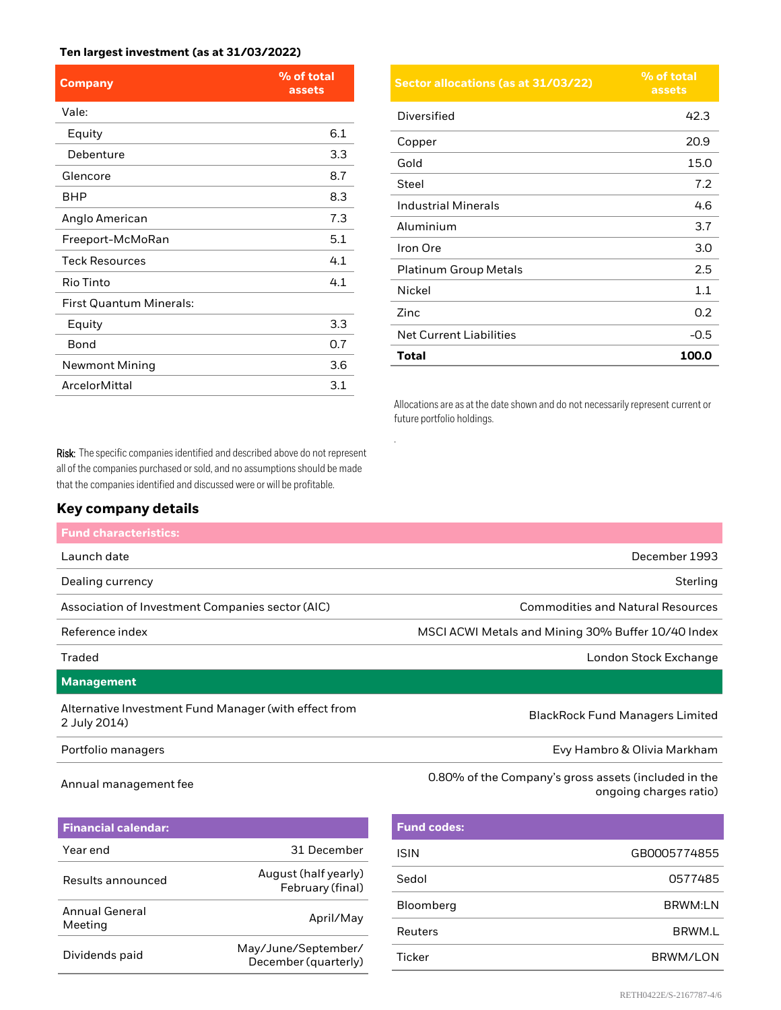#### **Ten largest investment (as at 31/03/2022)**

| <b>Company</b>                 | % of total<br>assets |
|--------------------------------|----------------------|
| Vale:                          |                      |
| Equity                         | 6.1                  |
| Debenture                      | 3.3                  |
| Glencore                       | 8.7                  |
| <b>BHP</b>                     | 8.3                  |
| Anglo American                 | 7.3                  |
| Freeport-McMoRan               | 5.1                  |
| <b>Teck Resources</b>          | 4.1                  |
| Rio Tinto                      | 4.1                  |
| <b>First Quantum Minerals:</b> |                      |
| Equity                         | 3.3                  |
| Bond                           | 0.7                  |
| <b>Newmont Mining</b>          | 3.6                  |
| <b>ArcelorMittal</b>           | 3.1                  |

Risk: The specific companies identified and described above do not represent all of the companies purchased or sold, and no assumptions should be made that the companies identified and discussed were or will be profitable.

#### **Key company details**

| <b>Sector allocations (as at 31/03/22)</b> | % of total<br>assets |
|--------------------------------------------|----------------------|
| Diversified                                | 42.3                 |
| Copper                                     | 20.9                 |
| Gold                                       | 15.0                 |
| Steel                                      | 7.2                  |
| <b>Industrial Minerals</b>                 | 4.6                  |
| Aluminium                                  | 3.7                  |
| Iron Ore                                   | 3.0                  |
| <b>Platinum Group Metals</b>               | 2.5                  |
| Nickel                                     | 1.1                  |
| Zinc                                       | 0.2                  |
| <b>Net Current Liabilities</b>             | $-0.5$               |
| Total                                      | 100.0                |

Allocations are as at the date shown and do not necessarily represent current or future portfolio holdings.

| <b>Fund characteristics:</b>                                          |                                                    |
|-----------------------------------------------------------------------|----------------------------------------------------|
| Launch date                                                           | December 1993                                      |
| Dealing currency                                                      | Sterling                                           |
| Association of Investment Companies sector (AIC)                      | <b>Commodities and Natural Resources</b>           |
| Reference index                                                       | MSCI ACWI Metals and Mining 30% Buffer 10/40 Index |
| Traded                                                                | London Stock Exchange                              |
| Management                                                            |                                                    |
| Alternative Investment Fund Manager (with effect from<br>2 July 2014) | <b>BlackRock Fund Managers Limited</b>             |
| Portfolio managers                                                    | Evy Hambro & Olivia Markham                        |

.

### Annual management fee 0.80% of the Company's gross assets (included in the Annual management fee

| <b>Financial calendar:</b> |                                             |
|----------------------------|---------------------------------------------|
| Year end                   | 31 December                                 |
| Results announced          | August (half yearly)<br>February (final)    |
| Annual General<br>Meeting  | April/May                                   |
| Dividends paid             | May/June/September/<br>December (quarterly) |
|                            |                                             |

| <b>Fund codes:</b> |                |
|--------------------|----------------|
| <b>ISIN</b>        | GB0005774855   |
| Sedol              | 0577485        |
| Bloomberg          | <b>BRWM:LN</b> |
| Reuters            | BRWM.L         |
| <b>Ticker</b>      | BRWM/LON       |

ongoing charges ratio)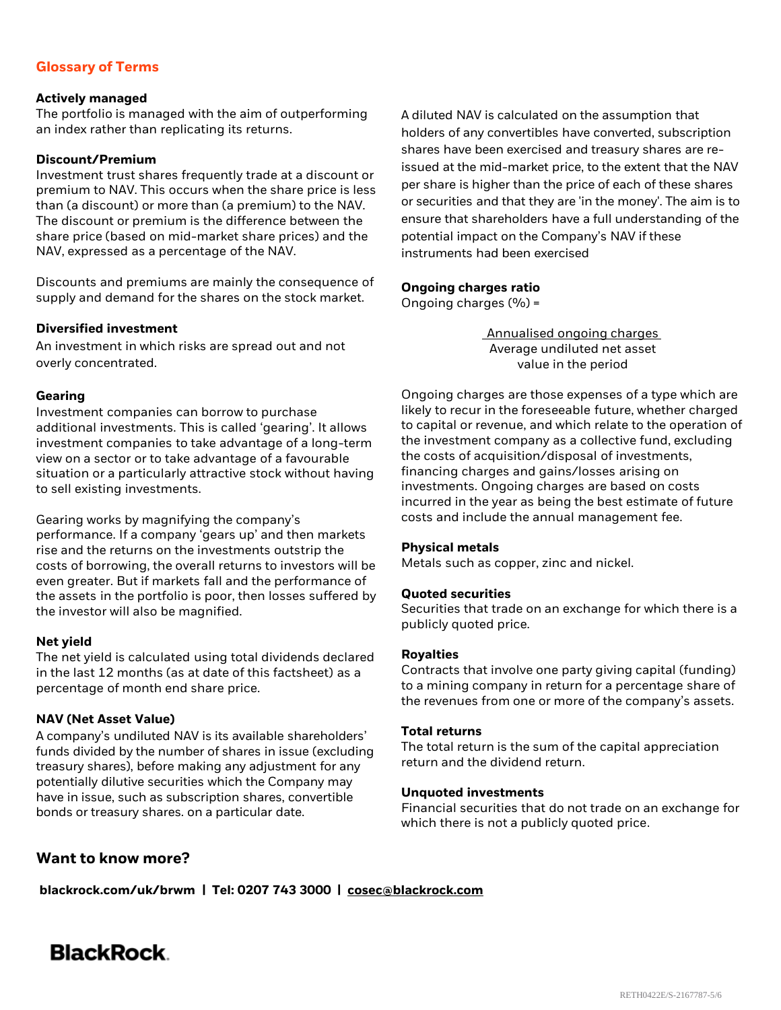#### **Glossary of Terms**

#### **Actively managed**

The portfolio is managed with the aim of outperforming an index rather than replicating its returns.

#### **Discount/Premium**

Investment trust shares frequently trade at a discount or premium to NAV. This occurs when the share price is less than (a discount) or more than (a premium) to the NAV. The discount or premium is the difference between the share price (based on mid-market share prices) and the NAV, expressed as a percentage of the NAV.

Discounts and premiums are mainly the consequence of supply and demand for the shares on the stock market.

#### **Diversified investment**

An investment in which risks are spread out and not overly concentrated.

#### **Gearing**

Investment companies can borrow to purchase additional investments. This is called 'gearing'. It allows investment companies to take advantage of a long-term view on a sector or to take advantage of a favourable situation or a particularly attractive stock without having to sell existing investments.

Gearing works by magnifying the company's performance. If a company 'gears up' and then markets rise and the returns on the investments outstrip the costs of borrowing, the overall returns to investors will be even greater. But if markets fall and the performance of the assets in the portfolio is poor, then losses suffered by the investor will also be magnified.

#### **Net yield**

The net yield is calculated using total dividends declared in the last 12 months (as at date of this factsheet) as a percentage of month end share price.

#### **NAV (Net Asset Value)**

A company's undiluted NAV is its available shareholders' funds divided by the number of shares in issue (excluding treasury shares), before making any adjustment for any potentially dilutive securities which the Company may have in issue, such as subscription shares, convertible bonds or treasury shares. on a particular date.

A diluted NAV is calculated on the assumption that holders of any convertibles have converted, subscription shares have been exercised and treasury shares are reissued at the mid-market price, to the extent that the NAV per share is higher than the price of each of these shares or securities and that they are 'in the money'. The aim is to ensure that shareholders have a full understanding of the potential impact on the Company's NAV if these instruments had been exercised

#### **Ongoing charges ratio**

Ongoing charges  $(%)$  =

Annualised ongoing charges Average undiluted net asset value in the period

Ongoing charges are those expenses of a type which are likely to recur in the foreseeable future, whether charged to capital or revenue, and which relate to the operation of the investment company as a collective fund, excluding the costs of acquisition/disposal of investments, financing charges and gains/losses arising on investments. Ongoing charges are based on costs incurred in the year as being the best estimate of future costs and include the annual management fee.

#### **Physical metals**

Metals such as copper, zinc and nickel.

#### **Quoted securities**

Securities that trade on an exchange for which there is a publicly quoted price.

#### **Royalties**

Contracts that involve one party giving capital (funding) to a mining company in return for a percentage share of the revenues from one or more of the company's assets.

#### **Total returns**

The total return is the sum of the capital appreciation return and the dividend return.

#### **Unquoted investments**

Financial securities that do not trade on an exchange for which there is not a publicly quoted price.

#### **Want to know more?**

**blackrock.com/uk/brwm | Tel: 0207 743 3000 | [cosec@blackrock.com](mailto:cosec@blackrock.com?subject=Investment%20Trust%20Inquiry%20Website)**

## **BlackRock**